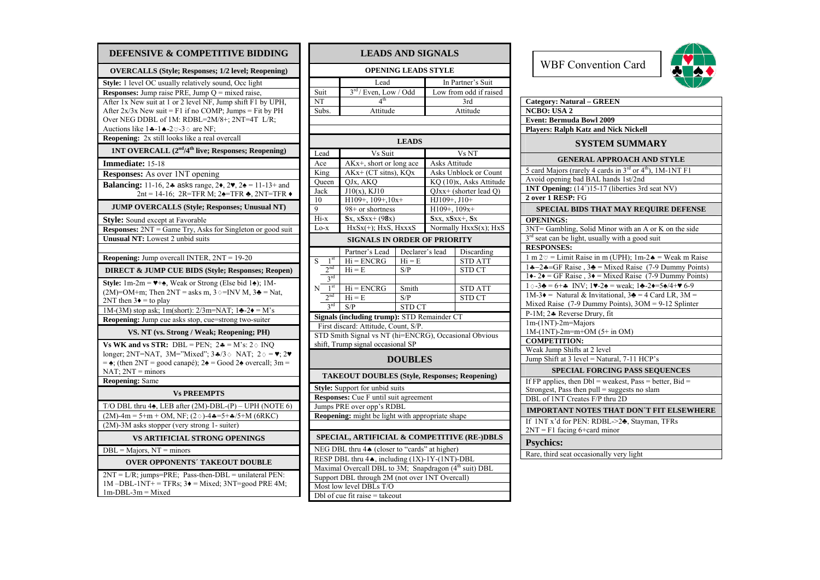| DEFENSIVE & COMPETITIVE BIDDING                                                                                                                                                                                           |
|---------------------------------------------------------------------------------------------------------------------------------------------------------------------------------------------------------------------------|
| <b>OVERCALLS (Style; Responses; 1/2 level; Reopening)</b>                                                                                                                                                                 |
| Style: 1 level OC usually relatively sound, Occ light                                                                                                                                                                     |
| <b>Responses:</b> Jump raise PRE, Jump $Q = mixed$ raise,                                                                                                                                                                 |
| After 1x New suit at 1 or 2 level NF, Jump shift F1 by UPH,                                                                                                                                                               |
| After $2x/3x$ New suit = F1 if no COMP; Jumps = Fit by PH                                                                                                                                                                 |
| Over NEG DDBL of 1M: RDBL=2M/8+; 2NT=4T L/R;                                                                                                                                                                              |
| Auctions like $1 \cdot -1 \cdot -2 \cdot 3 \cdot$ are NF;<br>Reopening: 2x still looks like a real overcall                                                                                                               |
| 1NT OVERCALL (2 <sup>nd</sup> /4 <sup>th</sup> live; Responses; Reopening)                                                                                                                                                |
| Immediate: 15-18                                                                                                                                                                                                          |
| Responses: As over 1NT opening                                                                                                                                                                                            |
| <b>Balancing:</b> 11-16, 24 asks range, $2\bullet$ , $2\bullet$ , $2\bullet$ = 11-13+ and<br>2nt = 14-16; 2R=TFR M; 2 $\triangle$ =TFR $\triangle$ , 2NT=TFR $\triangle$                                                  |
| <b>JUMP OVERCALLS (Style; Responses; Unusual NT)</b>                                                                                                                                                                      |
| <b>Style:</b> Sound except at Favorable                                                                                                                                                                                   |
| <b>Responses:</b> 2NT = Game Try, Asks for Singleton or good suit                                                                                                                                                         |
| Unusual NT: Lowest 2 unbid suits                                                                                                                                                                                          |
|                                                                                                                                                                                                                           |
| Reopening: Jump overcall INTER, 2NT = 19-20                                                                                                                                                                               |
| <b>DIRECT &amp; JUMP CUE BIDS (Style; Responses; Reopen)</b>                                                                                                                                                              |
| Style: 1m-2m = $\Psi$ + $\spadesuit$ , Weak or Strong (Else bid 1 $\spadesuit$ ); 1M-                                                                                                                                     |
| $(2M) = OM + m$ ; Then $2NT =$ asks m, $3 \diamond = INV M$ , $3\clubsuit = Nat$ ,                                                                                                                                        |
| $2NT$ then $3\bullet =$ to play                                                                                                                                                                                           |
| $1M-(3M)$ stop ask; $1m(\text{short})$ : $2/3m=NAT$ ; $1\clubsuit -2\spadesuit = M's$<br>Reopening: Jump cue asks stop, cue=strong two-suiter                                                                             |
|                                                                                                                                                                                                                           |
| VS. NT (vs. Strong / Weak; Reopening; PH)                                                                                                                                                                                 |
| Vs WK and vs STR: DBL = PEN; $2\bullet = M$ 's: $2 \diamond INQ$                                                                                                                                                          |
| longer; 2NT=NAT, 3M="Mixed"; 3 $\angle$ 4/3 $\diamond$ NAT; 2 $\diamond$ = $\blacktriangledown$ ; 2 $\blacktriangledown$<br>$= \triangle$ ; (then 2NT = good canapé); 2 $\triangleq$ = Good 2 $\triangleq$ overcall; 3m = |
| NAT; $2NT =$ minors                                                                                                                                                                                                       |
| <b>Reopening: Same</b>                                                                                                                                                                                                    |
| <b>Vs PREEMPTS</b>                                                                                                                                                                                                        |
| T/O DBL thru 4 <sup>*</sup> , LEB after (2M)-DBL-(P) - UPH (NOTE 6)                                                                                                                                                       |
| $(2M)$ -4m = 5+m + OM, NF; $(2 \diamond)$ -4 $\ast$ =5+ $\ast$ /5+M (6RKC)                                                                                                                                                |
| (2M)-3M asks stopper (very strong 1- suiter)                                                                                                                                                                              |
| <b>VS ARTIFICIAL STRONG OPENINGS</b>                                                                                                                                                                                      |
| $\overline{\text{DBL}} = \overline{\text{M}}\text{ajors}, \text{NT} = \text{minors}$                                                                                                                                      |
| <b>OVER OPPONENTS' TAKEOUT DOUBLE</b>                                                                                                                                                                                     |
| $2NT = L/R$ ; jumps=PRE; Pass-then-DBL = unilateral PEN:<br>$1M$ -DBL- $1NT$ + = TFRs; $3\bullet$ = Mixed; $3NT$ =good PRE 4M;<br>$1m\text{-}DBL\text{-}3m = Mixed$                                                       |

| <b>LEADS AND SIGNALS</b>                                          |                                                           |                 |                     |                                     |  |
|-------------------------------------------------------------------|-----------------------------------------------------------|-----------------|---------------------|-------------------------------------|--|
|                                                                   | <b>OPENING LEADS STYLE</b>                                |                 |                     |                                     |  |
|                                                                   | Lead                                                      |                 |                     | In Partner's Suit                   |  |
| Suit                                                              | 3rd / Even, Low / Odd                                     |                 |                     | Low from odd if raised              |  |
| NT                                                                | $4^{\text{th}}$                                           |                 |                     | 3rd                                 |  |
| Subs.                                                             | Attitude                                                  |                 |                     | Attitude                            |  |
|                                                                   |                                                           |                 |                     |                                     |  |
|                                                                   |                                                           |                 |                     |                                     |  |
|                                                                   |                                                           | <b>LEADS</b>    |                     |                                     |  |
| Lead                                                              | Vs Suit                                                   |                 |                     | Vs NT                               |  |
| Ace                                                               | AKx+, short or long ace                                   |                 | Asks Attitude       |                                     |  |
| King                                                              | AKx+ (CT sitns), KQx                                      |                 |                     | Asks Unblock or Count               |  |
| Queen                                                             | QJx, AKQ                                                  |                 |                     | KQ (10)x, Asks Attitude             |  |
| Jack                                                              | $J10(x)$ , KJ10                                           |                 |                     | QJxx+ (shorter lead Q)              |  |
| 10                                                                | $H109+$ , 109+, 10x+                                      |                 | HJ109+, J10+        |                                     |  |
| 9                                                                 | 98+ or shortness                                          |                 | $H109+$ , $109x+$   |                                     |  |
| Hi-x                                                              | $Sx, xSxx+(98x)$                                          |                 | $Sxx, xSxx+$ , $Sx$ |                                     |  |
| Lo-x                                                              | $HxSx(+)$ ; $HxS$ , $HxxxS$                               |                 |                     | Normally $H\overline{xxS(x)}$ ; HxS |  |
|                                                                   | <b>SIGNALS IN ORDER OF PRIORITY</b>                       |                 |                     |                                     |  |
|                                                                   | Partner's Lead                                            | Declarer's lead |                     | Discarding                          |  |
| 1 <sup>st</sup><br>S                                              | $Hi = ENCRG$                                              | $Hi = E$        |                     | <b>STD ATT</b>                      |  |
| 2 <sub>nd</sub>                                                   | $Hi = E$                                                  | S/P             |                     | <b>STD CT</b>                       |  |
| $3^{\text{rd}}$                                                   |                                                           |                 |                     |                                     |  |
| 1 <sup>st</sup><br>Ν                                              | $Hi = ENCRG$                                              | Smith           |                     | <b>STD ATT</b>                      |  |
| 2 <sup>nd</sup>                                                   | $Hi = E$                                                  | S/P             |                     | STD CT                              |  |
|                                                                   | 3 <sup>rd</sup><br><b>STD CT</b><br>S/P                   |                 |                     |                                     |  |
| Signals (including trump): STD Remainder CT                       |                                                           |                 |                     |                                     |  |
|                                                                   | First discard: Attitude, Count, S/P.                      |                 |                     |                                     |  |
| STD Smith Signal vs NT (hi=ENCRG), Occasional Obvious             |                                                           |                 |                     |                                     |  |
| shift, Trump signal occasional SP                                 |                                                           |                 |                     |                                     |  |
|                                                                   |                                                           | <b>DOUBLES</b>  |                     |                                     |  |
|                                                                   | <b>TAKEOUT DOUBLES (Style, Responses; Reopening)</b>      |                 |                     |                                     |  |
|                                                                   | <b>Style:</b> Support for unbid suits                     |                 |                     |                                     |  |
|                                                                   | Responses: Cue F until suit agreement                     |                 |                     |                                     |  |
|                                                                   | Jumps PRE over opp's RDBL                                 |                 |                     |                                     |  |
|                                                                   | Reopening: might be light with appropriate shape          |                 |                     |                                     |  |
|                                                                   |                                                           |                 |                     |                                     |  |
| SPECIAL, ARTIFICIAL & COMPETITIVE (RE-)DBLS                       |                                                           |                 |                     |                                     |  |
|                                                                   | NEG DBL thru 4 <sup>t</sup> (closer to "cards" at higher) |                 |                     |                                     |  |
| RESP DBL thru 44, including (1X)-1Y-(1NT)-DBL                     |                                                           |                 |                     |                                     |  |
| Maximal Overcall DBL to 3M; Snapdragon (4 <sup>th</sup> suit) DBL |                                                           |                 |                     |                                     |  |
| Support DBL through 2M (not over 1NT Overcall)                    |                                                           |                 |                     |                                     |  |
| Most low level DBLs T/O                                           |                                                           |                 |                     |                                     |  |
| $Dbl$ of cue fit raise = takeout                                  |                                                           |                 |                     |                                     |  |



| <b>Category: Natural - GREEN</b>                                                                                                                                              |
|-------------------------------------------------------------------------------------------------------------------------------------------------------------------------------|
| <b>NCBO: USA 2</b>                                                                                                                                                            |
| <b>Event: Bermuda Bowl 2009</b>                                                                                                                                               |
| <b>Players: Ralph Katz and Nick Nickell</b>                                                                                                                                   |
| <b>SYSTEM SUMMARY</b>                                                                                                                                                         |
| <b>GENERAL APPROACH AND STYLE</b>                                                                                                                                             |
| 5 card Majors (rarely 4 cards in 3 <sup>rd</sup> or 4 <sup>th</sup> ), 1M-1NT F1                                                                                              |
| Avoid opening bad BAL hands 1st/2nd                                                                                                                                           |
| <b>1NT Opening:</b> (14 <sup>+</sup> )15-17 (liberties 3rd seat NV)                                                                                                           |
| 2 over 1 RESP: FG                                                                                                                                                             |
| SPECIAL BIDS THAT MAY REQUIRE DEFENSE                                                                                                                                         |
| <b>OPENINGS:</b>                                                                                                                                                              |
| 3NT= Gambling, Solid Minor with an A or K on the side                                                                                                                         |
| 3 <sup>rd</sup> seat can be light, usually with a good suit                                                                                                                   |
| <b>RESPONSES:</b>                                                                                                                                                             |
| 1 m $2\varnothing$ = Limit Raise in m (UPH); 1m-2 $\triangle$ = Weak m Raise                                                                                                  |
| 14-24=GF Raise, 34 = Mixed Raise (7-9 Dummy Points)<br>14-24 = GF Raise, 34 = Mixed Raise (7-9 Dummy Points)                                                                  |
|                                                                                                                                                                               |
| $1 \diamond -3$ = 6+4 INV; $1 \blacktriangleright -2 \blacktriangle$ = weak; $1 \blacktriangleright -2 \blacktriangleright = 5 \blacktriangle /4 + \blacktriangleright 6 - 9$ |
| $1M-3\bullet = \overline{\text{Natural } \& \text{Invitational, } 3\bullet = 4 \text{ Card LR, } 3M =$                                                                        |
| Mixed Raise $(7-9$ Dummy Points), $3OM = 9-12$ Splinter                                                                                                                       |
| P-1M; 24 Reverse Drury, fit                                                                                                                                                   |
| 1m-(1NT)-2m=Majors                                                                                                                                                            |
| 1M-(1NT)-2m=m+OM (5+ in OM)<br><b>COMPETITION:</b>                                                                                                                            |
| Weak Jump Shifts at 2 level                                                                                                                                                   |
| Jump Shift at 3 level = Natural, 7-11 HCP's                                                                                                                                   |
|                                                                                                                                                                               |
| <b>SPECIAL FORCING PASS SEQUENCES</b>                                                                                                                                         |
| If FP applies, then $Dbl$ = weakest, Pass = better, Bid =                                                                                                                     |
| Strongest, Pass then $pull = suggests no slam$                                                                                                                                |
| DBL of 1NT Creates F/P thru 2D                                                                                                                                                |
| <b>IMPORTANT NOTES THAT DON'T FIT ELSEWHERE</b>                                                                                                                               |
| If 1NT x'd for PEN: RDBL->24, Stayman, TFRs<br>$2NT = F1$ facing 6+card minor                                                                                                 |
| <b>Psychics:</b>                                                                                                                                                              |
| Rare, third seat occasionally very light                                                                                                                                      |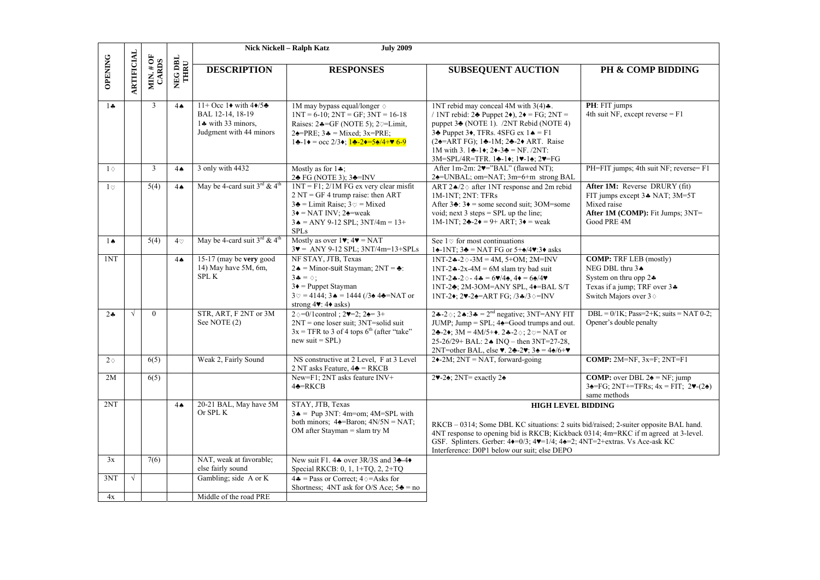|                |                   |                                                 |                 | Nick Nickell - Ralph Katz<br><b>July 2009</b>        |                                                                                                                              |                                                                                                                                                                                               |                                                                                                                                   |
|----------------|-------------------|-------------------------------------------------|-----------------|------------------------------------------------------|------------------------------------------------------------------------------------------------------------------------------|-----------------------------------------------------------------------------------------------------------------------------------------------------------------------------------------------|-----------------------------------------------------------------------------------------------------------------------------------|
|                |                   |                                                 |                 |                                                      |                                                                                                                              |                                                                                                                                                                                               |                                                                                                                                   |
| <b>OPENING</b> |                   |                                                 | NEG DBL<br>THRU | <b>DESCRIPTION</b>                                   | <b>RESPONSES</b>                                                                                                             | <b>SUBSEQUENT AUCTION</b>                                                                                                                                                                     | PH & COMP BIDDING                                                                                                                 |
|                | <b>ARTIFICIAL</b> | $\frac{\text{MIN.}\,\# \text{OF}}{\text{CARS}}$ |                 |                                                      |                                                                                                                              |                                                                                                                                                                                               |                                                                                                                                   |
| $1 +$          |                   | 3                                               | 4A              | 11+ Occ 1 $\bullet$ with 4 $\bullet$ /5 $\bullet$    | 1M may bypass equal/longer $\diamond$                                                                                        | 1NT rebid may conceal 4M with $3(4)$ .                                                                                                                                                        | PH: FIT jumps                                                                                                                     |
|                |                   |                                                 |                 | BAL 12-14, 18-19                                     | $1NT = 6-10$ ; $2NT = GF$ ; $3NT = 16-18$                                                                                    | / 1NT rebid: $2\blacktriangleright$ Puppet $2\blacklozenge$ ), $2\blacklozenge$ = FG; $2NT =$                                                                                                 | 4th suit NF, except reverse $=$ F1                                                                                                |
|                |                   |                                                 |                 | 1. with 33 minors,                                   | Raises: $2 \div =GF$ (NOTE 5); $2 \div = Limit$ ,                                                                            | puppet 3 <sup>*</sup> (NOTE 1). /2NT Rebid (NOTE 4)                                                                                                                                           |                                                                                                                                   |
|                |                   |                                                 |                 | Judgment with 44 minors                              | $2\triangleleft=PRE$ ; $3\triangleleft=Mixed$ ; $3x=PRE$ ;                                                                   | 34 Puppet 34, TFRs. 4SFG ex $1 \triangleq F1$                                                                                                                                                 |                                                                                                                                   |
|                |                   |                                                 |                 |                                                      | $1\clubsuit - 1\bullet = \text{occ } 2/3\bullet$ ; $1\clubsuit - 2\bullet = 5\spadesuit/4 + \bullet 6-9$                     | $(2\triangle = ARTFG); 1\triangle = 1M; 2\triangle = 2\triangle + ART$ . Raise<br>1M with 3. 14-14; $2 \div 3 = \text{NF}$ . /2NT:                                                            |                                                                                                                                   |
|                |                   |                                                 |                 |                                                      |                                                                                                                              | 3M=SPL/4R=TFR. 14-14; 17-14; 27=FG                                                                                                                                                            |                                                                                                                                   |
| $1 \circ$      |                   | 3                                               | 4 <sub>•</sub>  | 3 only with 4432                                     | Mostly as for $1\clubsuit$ ;                                                                                                 | After 1m-2m: $2\nightharpoonup$ $\cong$ "BAL" (flawed NT);                                                                                                                                    | PH=FIT jumps; 4th suit NF; reverse= F1                                                                                            |
|                |                   |                                                 |                 |                                                      | 2♣ FG (NOTE 3); 3♣=INV                                                                                                       | 24=UNBAL; om=NAT; 3m=6+m strong BAL                                                                                                                                                           |                                                                                                                                   |
| $1\circ$       |                   | 5(4)                                            | 4A              | May be 4-card suit $3^{\text{rd}}$ & 4 <sup>th</sup> | $1NT = F1$ ; $2/1M FG$ ex very clear misfit<br>$2 NT = GF 4$ trump raise: then ART                                           | ART $2\triangle 2$ after 1NT response and 2m rebid<br>1M-1NT; 2NT: TFRs                                                                                                                       | After 1M: Reverse DRURY (fit)<br>FIT jumps except 3. NAT; 3M=5T                                                                   |
|                |                   |                                                 |                 |                                                      | $3\clubsuit$ = Limit Raise; $3\heartsuit$ = Mixed                                                                            | After $3\div 3\div 5$ some second suit; 30M=some                                                                                                                                              | Mixed raise                                                                                                                       |
|                |                   |                                                 |                 |                                                      | $3\bullet$ = NAT INV; 2 $\bullet$ = weak                                                                                     | void; next $3$ steps = SPL up the line;                                                                                                                                                       | After 1M (COMP): Fit Jumps; 3NT=                                                                                                  |
|                |                   |                                                 |                 |                                                      | $3 \triangle = ANY 9-12$ SPL; $3NT/4m = 13+$                                                                                 | 1M-1NT; $2\clubsuit - 2\spadesuit = 9 + ART$ ; $3\spadesuit = weak$                                                                                                                           | Good PRE 4M                                                                                                                       |
|                |                   |                                                 |                 |                                                      | <b>SPLs</b>                                                                                                                  |                                                                                                                                                                                               |                                                                                                                                   |
| $1 \spadesuit$ |                   | 5(4)                                            | $4\circ$        | May be 4-card suit $3^{rd}$ & 4 <sup>th</sup>        | Mostly as over $1\blacktriangledown$ ; $4\blacktriangledown$ = NAT<br>$3\blacktriangledown$ = ANY 9-12 SPL; $3NT/4m=13+SPLs$ | See $1\phi$ for most continuations<br>14-1NT; $3\blacktriangle =$ NAT FG or $5+\blacktriangle/4$ . $3\blacktriangle$ asks                                                                     |                                                                                                                                   |
| 1NT            |                   |                                                 | 4 <sub>A</sub>  | 15-17 (may be very good                              | NF STAY, JTB, Texas                                                                                                          | $1NT - 2 - 2 \cdot 3M = 4M$ , 5+OM; 2M=INV                                                                                                                                                    | <b>COMP:</b> TRF LEB (mostly)                                                                                                     |
|                |                   |                                                 |                 | 14) May have 5M, 6m,                                 | $2\spadesuit$ = Minor-suit Stayman; $2NT = ∅$ :                                                                              | $1NT-2$ $\triangleleft$ -2x-4M = 6M slam try bad suit                                                                                                                                         | NEG DBL thru 3.                                                                                                                   |
|                |                   |                                                 |                 | <b>SPL K</b>                                         | $3\clubsuit = \diamond$ :                                                                                                    | $1NT - 2 - 20 - 4 = 69/4$ , $4 = 6/4$                                                                                                                                                         | System on thru opp $2\clubsuit$                                                                                                   |
|                |                   |                                                 |                 |                                                      | $3\bullet$ = Puppet Stayman<br>$3\degree = 4144$ ; $3\bullet = 1444$ (/3 $\bullet$ 4 $\bullet$ =NAT or                       | 1NT-24; 2M-3OM=ANY SPL, 4+=BAL S/T                                                                                                                                                            | Texas if a jump; TRF over 34<br>Switch Majors over 3 $\diamond$                                                                   |
|                |                   |                                                 |                 |                                                      | strong $4$ . $4$ asks)                                                                                                       | 1NT-2 $\bullet$ ; 2 $\bullet$ -2 $\bullet$ =ART FG; /3 $\bullet$ /3 $\diamond$ =INV                                                                                                           |                                                                                                                                   |
| $2 -$          | $\sqrt{ }$        | $\theta$                                        |                 | STR, ART, F 2NT or 3M                                | $2\diamond=0/1$ control; $2\ntriangleright=2$ ; $2\triangle=3+$                                                              | 2.4-2 $\diamond$ ; 2.4:3.4 = 2 <sup>nd</sup> negative; 3NT=ANY FIT                                                                                                                            | DBL = $0/1$ K; Pass=2+K; suits = NAT 0-2;                                                                                         |
|                |                   |                                                 |                 | See NOTE (2)                                         | $2NT$ = one loser suit; $3NT$ =solid suit                                                                                    | JUMP; Jump = SPL; $4\triangleq$ =Good trumps and out.                                                                                                                                         | Opener's double penalty                                                                                                           |
|                |                   |                                                 |                 |                                                      | $3x = TFR$ to 3 of 4 tops 6 <sup>th</sup> (after "take"<br>$new suit = SPL$ )                                                | 2♣-2♦; $3M = 4M/5+$ ♦. 2♣-2 $\diamond$ ; $2 \heartsuit = NAT$ or<br>25-26/29+ BAL: $2 \triangleleft$ INO – then 3NT=27-28,                                                                    |                                                                                                                                   |
|                |                   |                                                 |                 |                                                      |                                                                                                                              | 2NT=other BAL, else $\blacktriangledown$ . 2 $\blacktriangleright$ -2 $\blacktriangledown$ ; 3 $\blacktriangleleft$ = 4 $\blacktriangleleft$ /6+ $\blacktriangledown$                         |                                                                                                                                   |
| $2\diamond$    |                   | 6(5)                                            |                 | Weak 2, Fairly Sound                                 | NS constructive at 2 Level, F at 3 Level                                                                                     | $2\blacklozenge$ -2M; $2NT = NAT$ , forward-going                                                                                                                                             | COMP: $2M=NF$ , $3x=F$ ; $2NT=F1$                                                                                                 |
|                |                   |                                                 |                 |                                                      | 2 NT asks Feature, $4\triangleq$ = RKCB                                                                                      |                                                                                                                                                                                               |                                                                                                                                   |
| 2M             |                   | 6(5)                                            |                 |                                                      | New=F1; 2NT asks feature INV+<br>$4\bigstar = R KCB$                                                                         | $2\blacktriangledown$ -2 $\blacktriangle$ ; 2NT= exactly 2 $\blacktriangle$                                                                                                                   | <b>COMP:</b> over DBL $2\triangleq$ = NF; jump<br>$3\triangleleft=FG$ ; $2NT == TFRs$ ; $4x = FIT$ ; $2\Psi$ - $(2\triangleleft)$ |
|                |                   |                                                 |                 |                                                      |                                                                                                                              |                                                                                                                                                                                               | same methods                                                                                                                      |
| 2NT            |                   |                                                 | $4 \spadesuit$  | 20-21 BAL, May have 5M                               | STAY, JTB, Texas                                                                                                             | <b>HIGH LEVEL BIDDING</b>                                                                                                                                                                     |                                                                                                                                   |
|                |                   |                                                 |                 | Or SPL K                                             | $3 \triangle$ = Pup 3NT: 4m=om; 4M=SPL with                                                                                  |                                                                                                                                                                                               |                                                                                                                                   |
|                |                   |                                                 |                 |                                                      | both minors; $4\triangleleft$ =Baron; $4N/5N = NAT$ ;<br>OM after Stayman = slam try $M$                                     | RKCB – 0314; Some DBL KC situations: 2 suits bid/raised; 2-suiter opposite BAL hand.                                                                                                          |                                                                                                                                   |
|                |                   |                                                 |                 |                                                      |                                                                                                                              | 4NT response to opening bid is RKCB; Kickback 0314; 4m=RKC if m agreed at 3-level.<br>GSF. Splinters. Gerber: 4 $\bullet$ =0/3; 4 $\bullet$ =1/4; 4 $\bullet$ =2; 4NT=2+extras. Vs Ace-ask KC |                                                                                                                                   |
|                |                   |                                                 |                 |                                                      |                                                                                                                              | Interference: D0P1 below our suit; else DEPO                                                                                                                                                  |                                                                                                                                   |
| 3x             |                   | 7(6)                                            |                 | NAT, weak at favorable;                              | New suit F1, 44 over $3R/3S$ and $3-4\bullet$                                                                                |                                                                                                                                                                                               |                                                                                                                                   |
|                |                   |                                                 |                 | else fairly sound                                    | Special RKCB: 0, 1, 1+TQ, 2, 2+TQ                                                                                            |                                                                                                                                                                                               |                                                                                                                                   |
| 3NT            | $\sqrt{ }$        |                                                 |                 | Gambling; side A or K                                | $4\clubsuit$ = Pass or Correct; $4\diamond$ =Asks for<br>Shortness; 4NT ask for O/S Ace; $5\clubsuit$ = no                   |                                                                                                                                                                                               |                                                                                                                                   |
| 4x             |                   |                                                 |                 | Middle of the road PRE                               |                                                                                                                              |                                                                                                                                                                                               |                                                                                                                                   |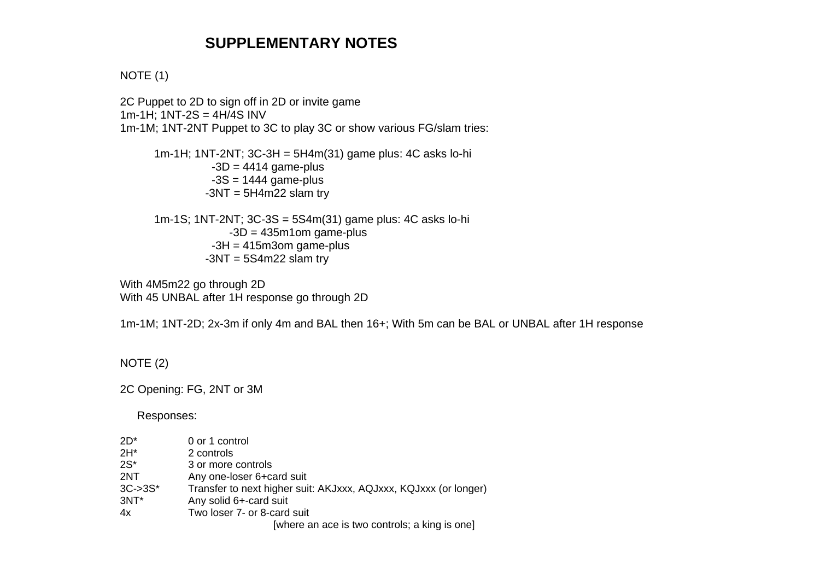# **SUPPLEMENTARY NOTES**

### NOTE (1)

2C Puppet to 2D to sign off in 2D or invite game 1m-1H; 1NT-2S = 4H/4S INV 1m-1M; 1NT-2NT Puppet to 3C to play 3C or show various FG/slam tries:

 1m-1H; 1NT-2NT; 3C-3H = 5H4m(31) game plus: 4C asks lo-hi  $-3D = 4414$  game-plus  $-3S = 1444$  game-plus  $-3NT = 5H4m22$  slam try

 1m-1S; 1NT-2NT; 3C-3S = 5S4m(31) game plus: 4C asks lo-hi  $-3D = 435m1$ om game-plus  $-3H = 415m3$ om game-plus  $-3NT = 5S4m22$  slam try

With 4M5m22 go through 2D With 45 UNBAL after 1H response go through 2D

1m-1M; 1NT-2D; 2x-3m if only 4m and BAL then 16+; With 5m can be BAL or UNBAL after 1H response

#### NOTE (2)

2C Opening: FG, 2NT or 3M

Responses:

| $2D^*$      | 0 or 1 control                                                   |
|-------------|------------------------------------------------------------------|
| $2H^*$      | 2 controls                                                       |
| $2S^*$      | 3 or more controls                                               |
| 2NT         | Any one-loser 6+card suit                                        |
| $3C - 3S^*$ | Transfer to next higher suit: AKJxxx, AQJxxx, KQJxxx (or longer) |
| $3NT*$      | Any solid 6+-card suit                                           |
| 4х          | Two loser 7- or 8-card suit                                      |
|             | <u>Euboro an aco is two controle: a king is onal</u>             |

[where an ace is two controls; a king is one]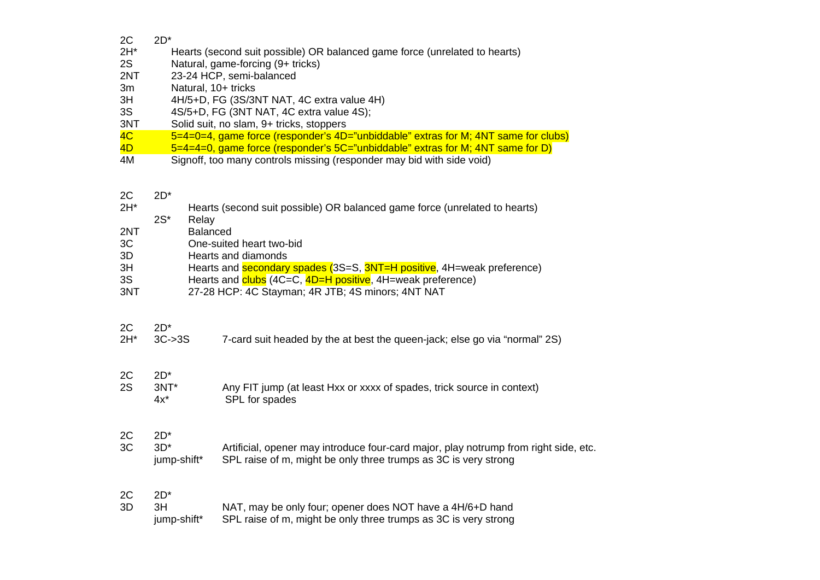| 2C     | $2D^*$              |                                                                                      |
|--------|---------------------|--------------------------------------------------------------------------------------|
| $2H^*$ |                     | Hearts (second suit possible) OR balanced game force (unrelated to hearts)           |
| 2S     |                     | Natural, game-forcing (9+ tricks)                                                    |
| 2NT    |                     | 23-24 HCP, semi-balanced                                                             |
| 3m     | Natural, 10+ tricks |                                                                                      |
| 3H     |                     | 4H/5+D, FG (3S/3NT NAT, 4C extra value 4H)                                           |
| 3S     |                     | 4S/5+D, FG (3NT NAT, 4C extra value 4S);                                             |
| 3NT    |                     | Solid suit, no slam, 9+ tricks, stoppers                                             |
| 4C     |                     | 5=4=0=4, game force (responder's 4D="unbiddable" extras for M; 4NT same for clubs)   |
| 4D     |                     | $5=4=4=0$ , game force (responder's $5C=$ "unbiddable" extras for M; 4NT same for D) |
| 4M     |                     | Signoff, too many controls missing (responder may bid with side void)                |
|        |                     |                                                                                      |
|        |                     |                                                                                      |
| 2C     | $2D^*$              |                                                                                      |
| $2H^*$ |                     | Hearts (second suit possible) OR balanced game force (unrelated to hearts)           |
|        | $2S^*$<br>Relay     |                                                                                      |
| 2NT    | <b>Balanced</b>     |                                                                                      |
| 3C     |                     | One-suited heart two-bid                                                             |
| 3D     |                     | Hearts and diamonds                                                                  |
| 3H     |                     | Hearts and secondary spades (3S=S, 3NT=H positive, 4H=weak preference)               |
| 3S     |                     | Hearts and clubs (4C=C, 4D=H positive, 4H=weak preference)                           |
| 3NT    |                     | 27-28 HCP: 4C Stayman; 4R JTB; 4S minors; 4NT NAT                                    |
|        |                     |                                                                                      |
|        |                     |                                                                                      |
| 2C     | $2D^*$              |                                                                                      |
| $2H^*$ | $3C-3S$             | 7-card suit headed by the at best the queen-jack; else go via "normal" 2S)           |
|        |                     |                                                                                      |
|        |                     |                                                                                      |
|        | $2D^*$              |                                                                                      |
| 2C     |                     |                                                                                      |
| 2S     | 3NT*<br>$4x^*$      | Any FIT jump (at least Hxx or xxxx of spades, trick source in context)               |
|        |                     | SPL for spades                                                                       |
|        |                     |                                                                                      |
|        |                     |                                                                                      |
| 2C     | $2D^*$              |                                                                                      |
| 3C     | $3D^*$              | Artificial, opener may introduce four-card major, play notrump from right side, etc. |
|        | jump-shift*         | SPL raise of m, might be only three trumps as 3C is very strong                      |
|        |                     |                                                                                      |
|        |                     |                                                                                      |
| 2C     | $2D^*$              |                                                                                      |
| 3D     | 3H                  | NAT, may be only four; opener does NOT have a 4H/6+D hand                            |

jump-shift\* SPL raise of m, might be only three trumps as 3C is very strong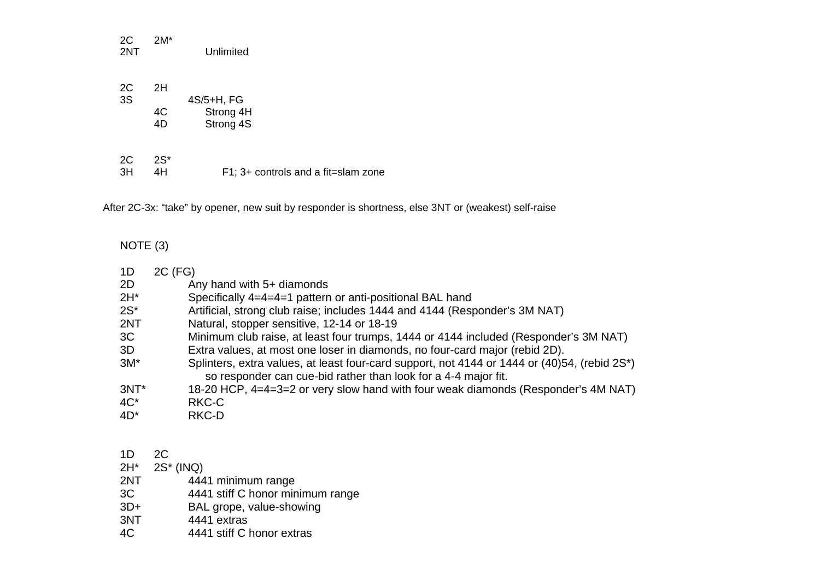| 2C<br>2NT | $2M^*$       | Unlimited              |
|-----------|--------------|------------------------|
| 2C<br>3S  | 2H           | 4S/5+H, FG             |
|           | 4C<br>4D     | Strong 4H<br>Strong 4S |
| 2C<br>ЗH  | $2S^*$<br>4H | F1: 3+ cor             |

 $\vdots$  3+ controls and a fit=slam zone

After 2C-3x: "take" by opener, new suit by responder is shortness, else 3NT or (weakest) self-raise

## NOTE (3)

| 1D      | 2C (FG)                                                                                                                                                        |
|---------|----------------------------------------------------------------------------------------------------------------------------------------------------------------|
| 2D      | Any hand with 5+ diamonds                                                                                                                                      |
| $2H^*$  | Specifically 4=4=4=1 pattern or anti-positional BAL hand                                                                                                       |
| $2S^*$  | Artificial, strong club raise; includes 1444 and 4144 (Responder's 3M NAT)                                                                                     |
| 2NT     | Natural, stopper sensitive, 12-14 or 18-19                                                                                                                     |
| 3C      | Minimum club raise, at least four trumps, 1444 or 4144 included (Responder's 3M NAT)                                                                           |
| 3D      | Extra values, at most one loser in diamonds, no four-card major (rebid 2D).                                                                                    |
| $3M^*$  | Splinters, extra values, at least four-card support, not 4144 or 1444 or (40)54, (rebid 2S*)<br>so responder can cue-bid rather than look for a 4-4 major fit. |
| $3NT^*$ | 18-20 HCP, 4=4=3=2 or very slow hand with four weak diamonds (Responder's 4M NAT)                                                                              |
| $4C^*$  | RKC-C                                                                                                                                                          |
| $4D^*$  | RKC-D                                                                                                                                                          |

### 1D 2C

|       | $2H^*$ 2S <sup>*</sup> (INQ)     |
|-------|----------------------------------|
| 2NT   | 4441 minimum range               |
| 3C    | 4441 stiff C honor minimum range |
| $3D+$ | BAL grope, value-showing         |
| 3NT   | 4441 extras                      |
| AC    | 4441 stiff C honor extras        |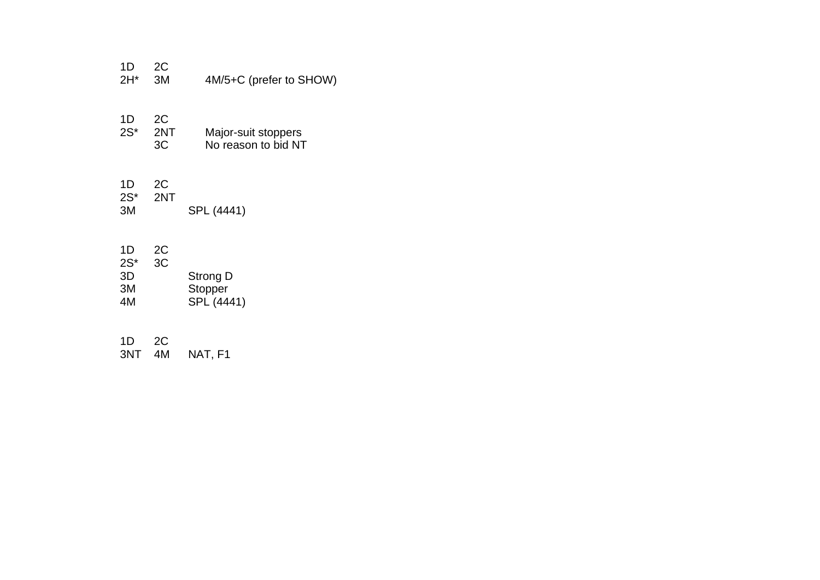| 1D<br>$2H^*$                   | 2C<br>3M        | 4M/5+C (prefer to SHOW)                    |
|--------------------------------|-----------------|--------------------------------------------|
| 1D<br>$2S^*$                   | 2C<br>2NT<br>3C | Major-suit stoppers<br>No reason to bid NT |
| 1D<br>$2S^*$<br>3M             | 2C<br>2NT       | SPL (4441)                                 |
| 1D<br>$2S^*$<br>3D<br>3M<br>4M | 2C<br>3C        | Strong D<br>Stopper<br>SPL (4441)          |
| 1D                             |                 |                                            |

1D 2C 3NT 4M NAT, F1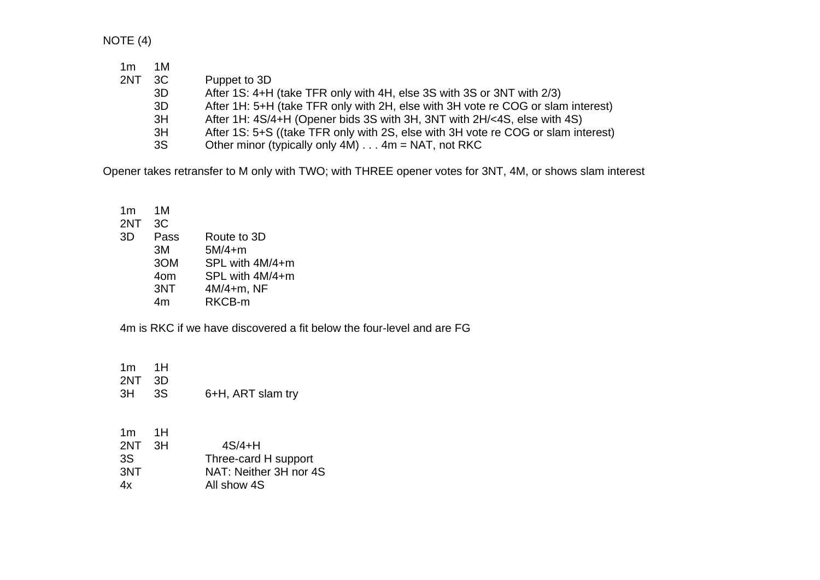NOTE (4)

| 1m  | 1M |                                                                                   |
|-----|----|-----------------------------------------------------------------------------------|
| 2NT | 3C | Puppet to 3D                                                                      |
|     | 3D | After 1S: 4+H (take TFR only with 4H, else 3S with 3S or 3NT with 2/3)            |
|     | 3D | After 1H: 5+H (take TFR only with 2H, else with 3H vote re COG or slam interest)  |
|     | 3H | After 1H: 4S/4+H (Opener bids 3S with 3H, 3NT with 2H/<4S, else with 4S)          |
|     | 3H | After 1S: 5+S ((take TFR only with 2S, else with 3H vote re COG or slam interest) |
|     | 3S | Other minor (typically only $4M$ ) $\dots$ 4m = NAT, not RKC                      |

Opener takes retransfer to M only with TWO; with THREE opener votes for 3NT, 4M, or shows slam interest

 $1<sub>m</sub>$  $1M$  2NT 3C 3D Pass Route to 3D 3M 5M/4+m 3OM SPL with 4M/4+m 4om SPL with 4M/4+m 3NT 4M/4+m, NF 4m RKCB-m

4m is RKC if we have discovered a fit below the four-level and are FG

1m 1H

- 2NT 3D 3H 3S 6+H, ART slam try
- 1m 1H  $2NT$   $3H$  $4S/4+H$ 3S Three-card H support 3NT NAT: Neither 3H nor 4S 4x All show 4S